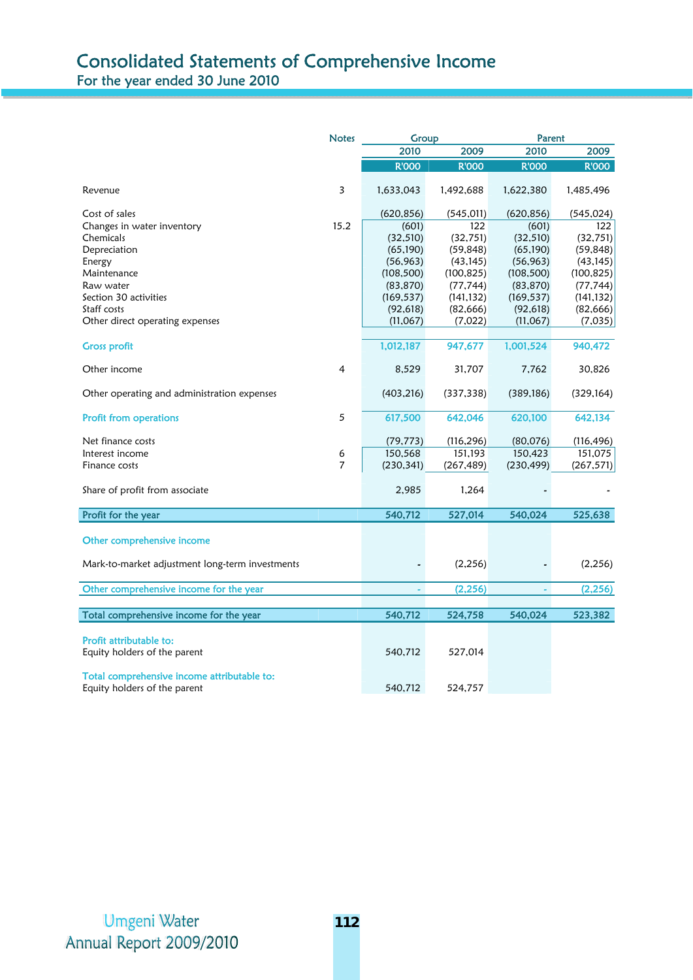## Consolidated Statements of Comprehensive Income For the year ended 30 June 2010

|                                                 | <b>Notes</b>   | Group        |              | Parent       |              |
|-------------------------------------------------|----------------|--------------|--------------|--------------|--------------|
|                                                 |                | 2010         | 2009         | 2010         | 2009         |
|                                                 |                | <b>R'OOO</b> | <b>R'OOO</b> | <b>R'OOO</b> | <b>R'OOO</b> |
| Revenue                                         | 3              | 1,633,043    | 1,492,688    | 1,622,380    | 1,485,496    |
| Cost of sales                                   |                | (620, 856)   | (545, 011)   | (620, 856)   | (545, 024)   |
| Changes in water inventory                      | 15.2           | (601)        | 122          | (601)        | 122          |
| Chemicals                                       |                | (32, 510)    | (32, 751)    | (32, 510)    | (32, 751)    |
| Depreciation                                    |                | (65, 190)    | (59, 848)    | (65, 190)    | (59, 848)    |
| Energy                                          |                | (56, 963)    | (43, 145)    | (56, 963)    | (43, 145)    |
| Maintenance                                     |                | (108, 500)   | (100, 825)   | (108, 500)   | (100, 825)   |
| Raw water                                       |                | (83, 870)    | (77, 744)    | (83, 870)    | (77, 744)    |
| Section 30 activities                           |                | (169, 537)   | (141, 132)   | (169, 537)   | (141, 132)   |
| Staff costs                                     |                | (92, 618)    | (82, 666)    | (92, 618)    | (82, 666)    |
| Other direct operating expenses                 |                | (11,067)     | (7,022)      | (11,067)     | (7,035)      |
| <b>Gross profit</b>                             |                | 1,012,187    | 947,677      | 1,001,524    | 940,472      |
| Other income                                    | 4              | 8,529        | 31,707       | 7,762        | 30,826       |
| Other operating and administration expenses     |                | (403, 216)   | (337, 338)   | (389, 186)   | (329, 164)   |
| <b>Profit from operations</b>                   | 5              | 617,500      | 642,046      | 620,100      | 642,134      |
| Net finance costs                               |                | (79, 773)    | (116, 296)   | (80,076)     | (116, 496)   |
| Interest income                                 | 6              | 150,568      | 151,193      | 150,423      | 151,075      |
| Finance costs                                   | $\overline{7}$ | (230, 341)   | (267, 489)   | (230, 499)   | (267, 571)   |
| Share of profit from associate                  |                | 2,985        | 1,264        |              |              |
| Profit for the year                             |                | 540,712      | 527,014      | 540,024      | 525,638      |
| Other comprehensive income                      |                |              |              |              |              |
| Mark-to-market adjustment long-term investments |                |              | (2, 256)     |              | (2,256)      |
| Other comprehensive income for the year         |                | ä,           | (2, 256)     |              | (2, 256)     |
|                                                 |                |              |              |              |              |
| Total comprehensive income for the year         |                | 540,712      | 524,758      | 540,024      | 523,382      |
|                                                 |                |              |              |              |              |
| Profit attributable to:                         |                |              |              |              |              |
| Equity holders of the parent                    |                | 540,712      | 527,014      |              |              |
| Total comprehensive income attributable to:     |                |              |              |              |              |
| Equity holders of the parent                    |                | 540,712      | 524,757      |              |              |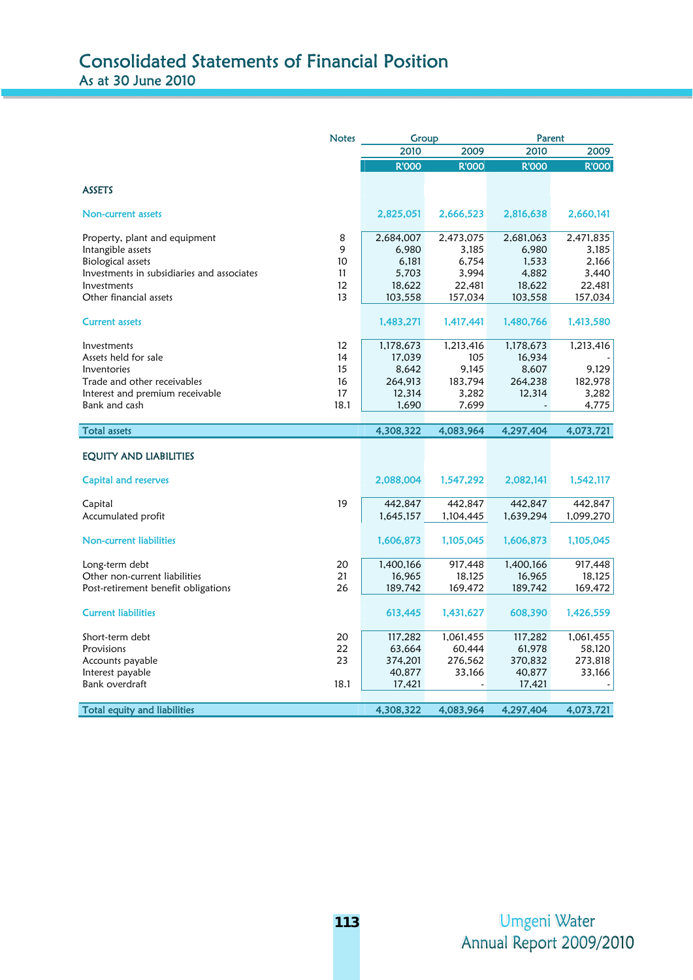|                                            | <b>Notes</b> | Group        |              | Parent       |              |
|--------------------------------------------|--------------|--------------|--------------|--------------|--------------|
|                                            |              | 2010         | 2009         | 2010         | 2009         |
|                                            |              | <b>R'OOO</b> | <b>R'OOO</b> | <b>R'OOO</b> | <b>R'OOO</b> |
|                                            |              |              |              |              |              |
| <b>ASSETS</b>                              |              |              |              |              |              |
| Non-current assets                         |              | 2,825,051    | 2,666,523    | 2,816,638    | 2,660,141    |
| Property, plant and equipment              | 8            | 2,684,007    | 2,473,075    | 2,681,063    | 2,471,835    |
| Intangible assets                          | 9            | 6,980        | 3,185        | 6,980        | 3,185        |
| <b>Biological assets</b>                   | 10           | 6,181        | 6,754        | 1,533        | 2,166        |
| Investments in subsidiaries and associates | 11           | 5,703        | 3,994        | 4,882        | 3,440        |
| Investments                                | 12           | 18,622       | 22,481       | 18,622       | 22,481       |
| Other financial assets                     | 13           | 103,558      | 157,034      | 103,558      | 157,034      |
| <b>Current assets</b>                      |              | 1,483,271    | 1,417,441    | 1,480,766    | 1,413,580    |
| Investments                                | 12           | 1,178,673    | 1,213,416    | 1,178,673    | 1,213,416    |
| Assets held for sale                       | 14           | 17,039       | 105          | 16,934       |              |
| Inventories                                | 15           | 8,642        | 9,145        | 8,607        | 9,129        |
| Trade and other receivables                | 16           | 264,913      | 183,794      | 264,238      | 182,978      |
| Interest and premium receivable            | 17           | 12,314       | 3,282        | 12,314       | 3,282        |
| Bank and cash                              | 18.1         | 1,690        | 7,699        |              | 4,775        |
|                                            |              |              |              |              |              |
| <b>Total assets</b>                        |              | 4,308,322    | 4,083,964    | 4,297,404    | 4,073,721    |
| EQUITY AND LIABILITIES                     |              |              |              |              |              |
| Capital and reserves                       |              | 2,088,004    | 1,547,292    | 2,082,141    | 1,542,117    |
| Capital                                    | 19           | 442,847      | 442,847      | 442,847      | 442,847      |
| Accumulated profit                         |              | 1,645,157    | 1,104,445    | 1,639,294    | 1,099,270    |
| <b>Non-current liabilities</b>             |              | 1,606,873    | 1,105,045    | 1,606,873    | 1,105,045    |
| Long-term debt                             | 20           | 1,400,166    | 917,448      | 1,400,166    | 917,448      |
| Other non-current liabilities              | 21           | 16,965       | 18,125       | 16,965       | 18,125       |
| Post-retirement benefit obligations        | 26           | 189,742      | 169,472      | 189,742      | 169,472      |
| <b>Current liabilities</b>                 |              | 613,445      | 1,431,627    | 608,390      | 1,426,559    |
| Short-term debt                            | 20           | 117,282      | 1,061,455    | 117,282      | 1,061,455    |
| Provisions                                 | 22           | 63,664       | 60,444       | 61,978       | 58,120       |
| Accounts payable                           | 23           | 374,201      | 276,562      | 370,832      | 273,818      |
| Interest payable                           |              | 40,877       | 33,166       | 40,877       | 33,166       |
| Bank overdraft                             | 18.1         | 17,421       |              | 17,421       |              |
|                                            |              |              |              |              |              |
| <b>Total equity and liabilities</b>        |              | 4,308,322    | 4,083,964    | 4,297,404    | 4,073,721    |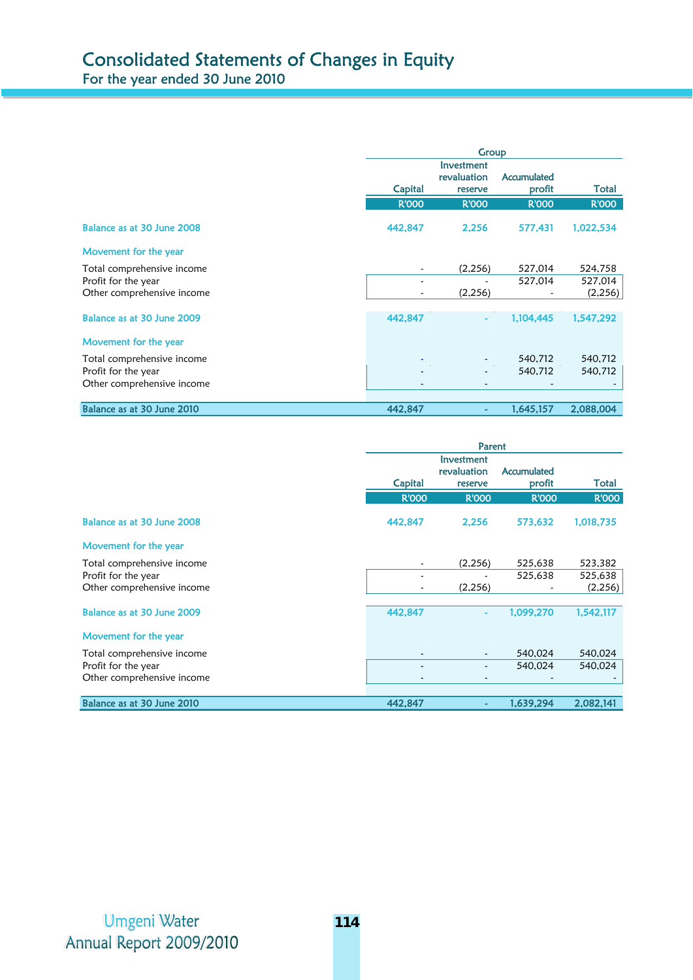|                            | Group        |                                      |                       |              |
|----------------------------|--------------|--------------------------------------|-----------------------|--------------|
|                            | Capital      | Investment<br>revaluation<br>reserve | Accumulated<br>profit | Total        |
|                            | <b>R'000</b> | <b>R'000</b>                         | <b>R'000</b>          | <b>R'000</b> |
| Balance as at 30 June 2008 | 442,847      | 2.256                                | 577,431               | 1,022,534    |
| Movement for the year      |              |                                      |                       |              |
| Total comprehensive income |              | (2,256)                              | 527,014               | 524,758      |
| Profit for the year        |              |                                      | 527,014               | 527,014      |
| Other comprehensive income |              | (2,256)                              |                       | (2,256)      |
| Balance as at 30 June 2009 | 442,847      |                                      | 1,104,445             | 1,547,292    |
| Movement for the year      |              |                                      |                       |              |
| Total comprehensive income |              |                                      | 540,712               | 540,712      |
| Profit for the year        |              |                                      | 540.712               | 540,712      |
| Other comprehensive income |              |                                      |                       |              |
| Balance as at 30 June 2010 | 442,847      |                                      | 1,645,157             | 2,088,004    |

|                            |                          | Parent                               |                       |              |  |
|----------------------------|--------------------------|--------------------------------------|-----------------------|--------------|--|
|                            | Capital                  | Investment<br>revaluation<br>reserve | Accumulated<br>profit | Total        |  |
|                            | <b>R'000</b>             | <b>R'OOO</b>                         | <b>R'OOO</b>          | <b>R'OOO</b> |  |
| Balance as at 30 June 2008 | 442,847                  | 2,256                                | 573,632               | 1,018,735    |  |
| Movement for the year      |                          |                                      |                       |              |  |
| Total comprehensive income |                          | (2, 256)                             | 525,638               | 523,382      |  |
| Profit for the year        |                          |                                      | 525,638               | 525,638      |  |
| Other comprehensive income |                          | (2,256)                              |                       | (2,256)      |  |
| Balance as at 30 June 2009 | 442,847                  | ۰                                    | 1,099,270             | 1,542,117    |  |
| Movement for the year      |                          |                                      |                       |              |  |
| Total comprehensive income |                          |                                      | 540,024               | 540,024      |  |
| Profit for the year        |                          |                                      | 540.024               | 540,024      |  |
| Other comprehensive income | $\overline{\phantom{a}}$ | $\tilde{\phantom{a}}$                |                       |              |  |
| Balance as at 30 June 2010 | 442,847                  | ٠                                    | 1,639,294             | 2,082,141    |  |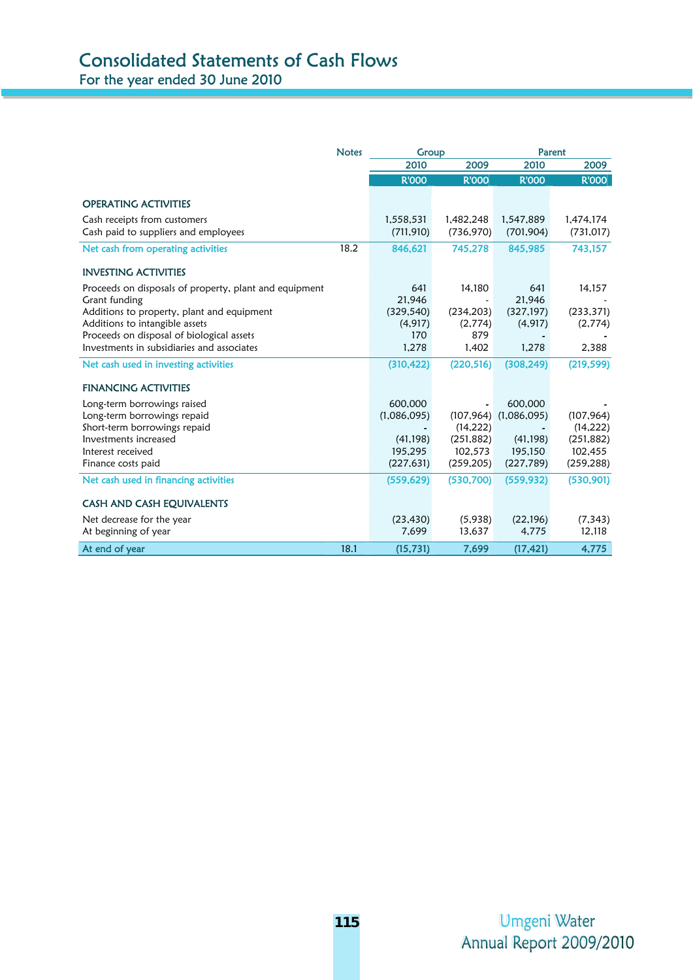## Consolidated Statements of Cash Flows For the year ended 30 June 2010

|                                                                                         | <b>Notes</b> | Group                   |                         | Parent                  |                         |
|-----------------------------------------------------------------------------------------|--------------|-------------------------|-------------------------|-------------------------|-------------------------|
|                                                                                         |              | 2010                    | 2009                    | 2010                    | 2009                    |
|                                                                                         |              | <b>R'OOO</b>            | <b>R'OOO</b>            | <b>R'OOO</b>            | <b>R'OOO</b>            |
| <b>OPERATING ACTIVITIES</b>                                                             |              |                         |                         |                         |                         |
| Cash receipts from customers<br>Cash paid to suppliers and employees                    |              | 1,558,531<br>(711, 910) | 1,482,248<br>(736, 970) | 1,547,889<br>(701, 904) | 1,474,174<br>(731, 017) |
| Net cash from operating activities                                                      | 18.2         | 846,621                 | 745,278                 | 845,985                 | 743,157                 |
| <b>INVESTING ACTIVITIES</b>                                                             |              |                         |                         |                         |                         |
| Proceeds on disposals of property, plant and equipment                                  |              | 641                     | 14,180                  | 641                     | 14,157                  |
| Grant funding                                                                           |              | 21.946                  |                         | 21.946                  |                         |
| Additions to property, plant and equipment                                              |              | (329, 540)              | (234, 203)              | (327, 197)              | (233, 371)              |
| Additions to intangible assets                                                          |              | (4, 917)<br>170         | (2,774)<br>879          | (4, 917)                | (2,774)                 |
| Proceeds on disposal of biological assets<br>Investments in subsidiaries and associates |              | 1,278                   | 1,402                   | 1.278                   | 2,388                   |
|                                                                                         |              |                         |                         |                         |                         |
| Net cash used in investing activities                                                   |              | (310, 422)              | (220, 516)              | (308, 249)              | (219, 599)              |
| <b>FINANCING ACTIVITIES</b>                                                             |              |                         |                         |                         |                         |
| Long-term borrowings raised                                                             |              | 600,000                 |                         | 600,000                 |                         |
| Long-term borrowings repaid                                                             |              | (1,086,095)             | (107, 964)              | (1,086,095)             | (107, 964)              |
| Short-term borrowings repaid                                                            |              |                         | (14, 222)               |                         | (14, 222)               |
| Investments increased                                                                   |              | (41, 198)               | (251, 882)              | (41, 198)               | (251, 882)              |
| Interest received                                                                       |              | 195,295                 | 102,573                 | 195,150                 | 102,455                 |
| Finance costs paid                                                                      |              | (227, 631)              | (259, 205)              | (227, 789)              | (259, 288)              |
| Net cash used in financing activities                                                   |              | (559, 629)              | (530, 700)              | (559, 932)              | (530, 901)              |
| <b>CASH AND CASH EQUIVALENTS</b>                                                        |              |                         |                         |                         |                         |
| Net decrease for the year                                                               |              | (23, 430)               | (5,938)                 | (22, 196)               | (7, 343)                |
| At beginning of year                                                                    |              | 7,699                   | 13,637                  | 4,775                   | 12,118                  |
| At end of year                                                                          | 18.1         | (15, 731)               | 7,699                   | (17, 421)               | 4,775                   |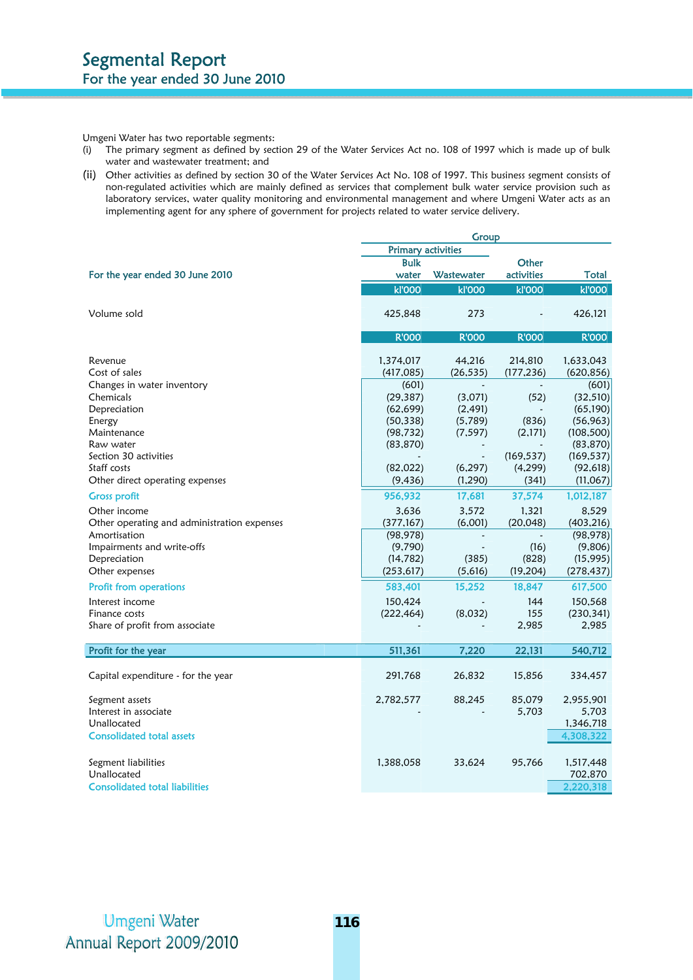Umgeni Water has two reportable segments:

- (i) The primary segment as defined by section 29 of the Water Services Act no. 108 of 1997 which is made up of bulk water and wastewater treatment; and
- (ii) Other activities as defined by section 30 of the Water Services Act No. 108 of 1997. This business segment consists of non-regulated activities which are mainly defined as services that complement bulk water service provision such as laboratory services, water quality monitoring and environmental management and where Umgeni Water acts as an implementing agent for any sphere of government for projects related to water service delivery.

|                                             | Group                     |              |               |               |
|---------------------------------------------|---------------------------|--------------|---------------|---------------|
|                                             | <b>Primary activities</b> |              |               |               |
|                                             | <b>Bulk</b>               |              | Other         |               |
| For the year ended 30 June 2010             | water                     | Wastewater   | activities    | Total         |
|                                             | <b>kl'000</b>             | <b>kľ000</b> | <b>kl'000</b> | <b>kl'000</b> |
| Volume sold                                 | 425,848                   | 273          |               | 426,121       |
|                                             | <b>R'OOO</b>              | <b>R'000</b> | <b>R'OOO</b>  | <b>R'OOO</b>  |
| Revenue                                     | 1,374,017                 | 44.216       | 214,810       | 1,633,043     |
| Cost of sales                               | (417,085)                 | (26, 535)    | (177, 236)    | (620, 856)    |
| Changes in water inventory                  | (601)                     |              |               | (601)         |
| Chemicals                                   | (29, 387)                 | (3,071)      | (52)          | (32, 510)     |
| Depreciation                                | (62, 699)                 | (2, 491)     |               | (65, 190)     |
| Energy                                      | (50, 338)                 | (5,789)      | (836)         | (56, 963)     |
| Maintenance                                 | (98, 732)                 | (7, 597)     | (2,171)       | (108, 500)    |
| Raw water                                   | (83, 870)                 |              |               | (83, 870)     |
| Section 30 activities                       |                           |              | (169, 537)    | (169, 537)    |
| Staff costs                                 | (82,022)                  | (6, 297)     | (4,299)       | (92, 618)     |
| Other direct operating expenses             | (9, 436)                  | (1, 290)     | (341)         | (11,067)      |
| <b>Gross profit</b>                         | 956,932                   | 17,681       | 37,574        | 1,012,187     |
| Other income                                | 3,636                     | 3.572        | 1.321         | 8.529         |
| Other operating and administration expenses | (377, 167)                | (6,001)      | (20, 048)     | (403, 216)    |
| Amortisation                                | (98, 978)                 |              |               | (98, 978)     |
| Impairments and write-offs                  | (9,790)                   |              | (16)          | (9,806)       |
| Depreciation                                | (14, 782)                 | (385)        | (828)         | (15, 995)     |
| Other expenses                              | (253, 617)                | (5,616)      | (19, 204)     | (278, 437)    |
| <b>Profit from operations</b>               | 583,401                   | 15,252       | 18,847        | 617,500       |
| Interest income                             | 150,424                   |              | 144           | 150,568       |
| Finance costs                               | (222, 464)                | (8,032)      | 155           | (230, 341)    |
| Share of profit from associate              |                           |              | 2,985         | 2,985         |
| Profit for the year                         | 511,361                   | 7,220        | 22,131        | 540,712       |
| Capital expenditure - for the year          | 291,768                   | 26,832       | 15,856        | 334,457       |
| Segment assets                              | 2,782,577                 | 88,245       | 85,079        | 2,955,901     |
| Interest in associate                       |                           |              | 5,703         | 5,703         |
| Unallocated                                 |                           |              |               | 1,346,718     |
| <b>Consolidated total assets</b>            |                           |              |               | 4,308,322     |
|                                             |                           |              |               |               |
| Segment liabilities                         | 1,388,058                 | 33,624       | 95,766        | 1,517,448     |
| Unallocated                                 |                           |              |               | 702,870       |
| <b>Consolidated total liabilities</b>       |                           |              |               | 2,220,318     |